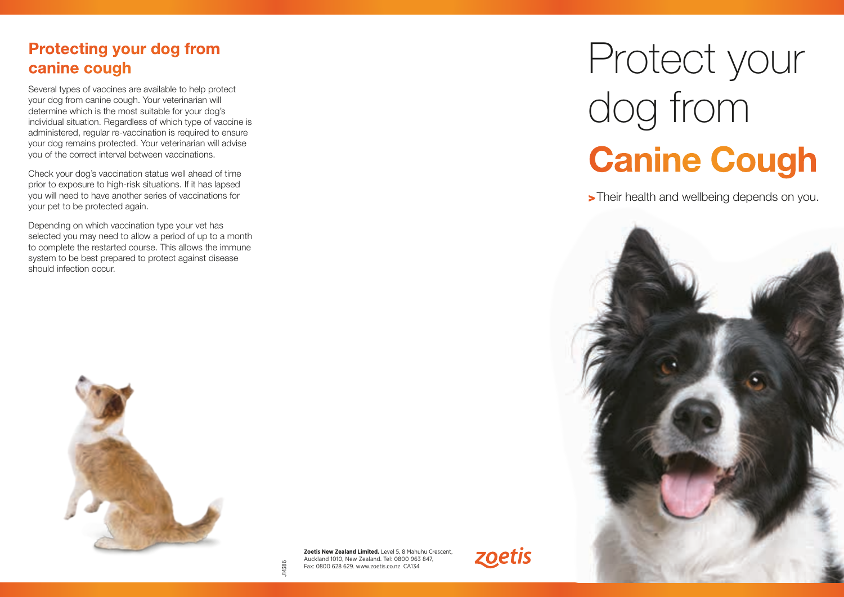## Protecting your dog from canine cough

Several types of vaccines are available to help protect your dog from canine cough. Your veterinarian will determine which is the most suitable for your dog's individual situation. Regardless of which type of vaccine is administered, regular re-vaccination is required to ensure your dog remains protected. Your veterinarian will advise you of the correct interval between vaccinations.

Check your dog's vaccination status well ahead of time prior to exposure to high-risk situations. If it has lapsed you will need to have another series of vaccinations for your pet to be protected again.

Depending on which vaccination type your vet has selected you may need to allow a period of up to a month to complete the restarted course. This allows the immune system to be best prepared to protect against disease should infection occur.



**Zoetis New Zealand Limited.** Level 5, 8 Mahuhu Crescent, Auckland 1010, New Zealand. Tel: 0800 963 847, Fax: 0800 628 629. www.zoetis.co.nz CA134

J14386



## Protect your dog from Canine Cough

>Their health and wellbeing depends on you.